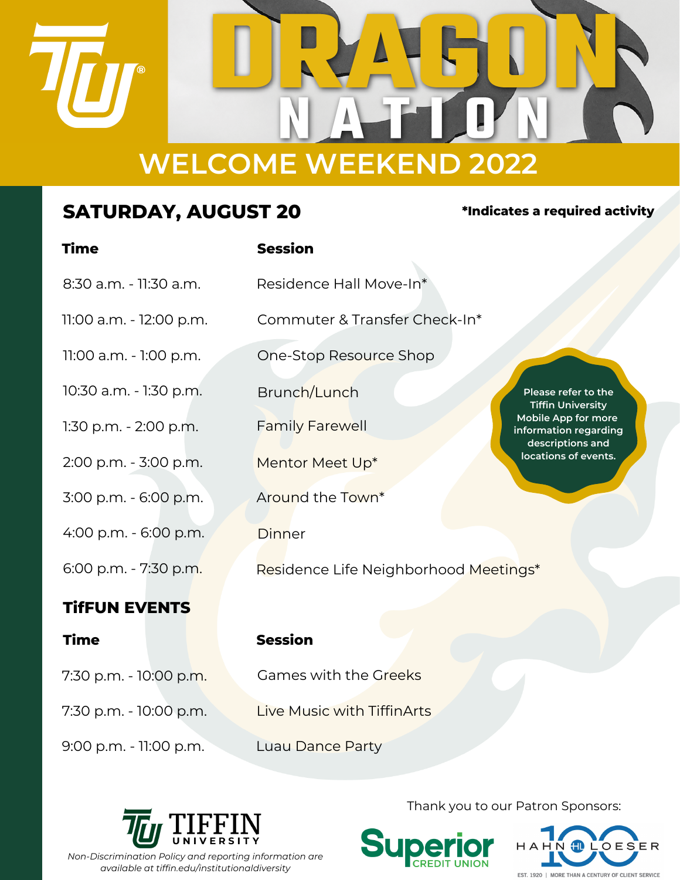

# **SATURDAY, AUGUST 20 \*Indicates <sup>a</sup> required activity**

| <b>Time</b>             | <b>Session</b>                        |                                                                                                                     |
|-------------------------|---------------------------------------|---------------------------------------------------------------------------------------------------------------------|
| 8:30 a.m. - 11:30 a.m.  | Residence Hall Move-In*               |                                                                                                                     |
| 11:00 a.m. - 12:00 p.m. | Commuter & Transfer Check-In*         |                                                                                                                     |
| 11:00 a.m. - 1:00 p.m.  | One-Stop Resource Shop                |                                                                                                                     |
| 10:30 a.m. - 1:30 p.m.  | Brunch/Lunch                          | Please refer to the<br><b>Tiffin University</b><br>Mobile App for more<br>information regarding<br>descriptions and |
| 1:30 p.m. - 2:00 p.m.   | <b>Family Farewell</b>                |                                                                                                                     |
| 2:00 p.m. - 3:00 p.m.   | Mentor Meet Up*                       | locations of events.                                                                                                |
| 3:00 p.m. - 6:00 p.m.   | Around the Town*                      |                                                                                                                     |
| 4:00 p.m. - 6:00 p.m.   | <b>Dinner</b>                         |                                                                                                                     |
| 6:00 p.m. - 7:30 p.m.   | Residence Life Neighborhood Meetings* |                                                                                                                     |
| <b>TIFFUN EVENTS</b>    |                                       |                                                                                                                     |
| <b>Time</b>             | <b>Session</b>                        |                                                                                                                     |
| 7:30 p.m. - 10:00 p.m.  | Games with the Greeks                 |                                                                                                                     |
| 7:30 p.m. - 10:00 p.m.  | <b>Live Music with TiffinArts</b>     |                                                                                                                     |

9:00 p.m. - 11:00 p.m. Luau Dance Party



Thank you to our Patron Sponsors: